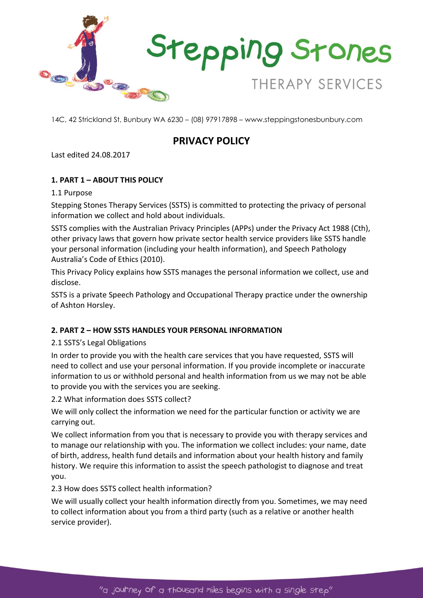

# **PRIVACY POLICY**

Last edited 24.08.2017

# **1. PART 1 – ABOUT THIS POLICY**

## 1.1 Purpose

Stepping Stones Therapy Services (SSTS) is committed to protecting the privacy of personal information we collect and hold about individuals.

SSTS complies with the Australian Privacy Principles (APPs) under the Privacy Act 1988 (Cth), other privacy laws that govern how private sector health service providers like SSTS handle your personal information (including your health information), and Speech Pathology Australia's Code of Ethics (2010).

This Privacy Policy explains how SSTS manages the personal information we collect, use and disclose.

SSTS is a private Speech Pathology and Occupational Therapy practice under the ownership of Ashton Horsley.

# **2. PART 2 – HOW SSTS HANDLES YOUR PERSONAL INFORMATION**

# 2.1 SSTS's Legal Obligations

In order to provide you with the health care services that you have requested, SSTS will need to collect and use your personal information. If you provide incomplete or inaccurate information to us or withhold personal and health information from us we may not be able to provide you with the services you are seeking.

2.2 What information does SSTS collect?

We will only collect the information we need for the particular function or activity we are carrying out.

We collect information from you that is necessary to provide you with therapy services and to manage our relationship with you. The information we collect includes: your name, date of birth, address, health fund details and information about your health history and family history. We require this information to assist the speech pathologist to diagnose and treat you.

# 2.3 How does SSTS collect health information?

We will usually collect your health information directly from you. Sometimes, we may need to collect information about you from a third party (such as a relative or another health service provider).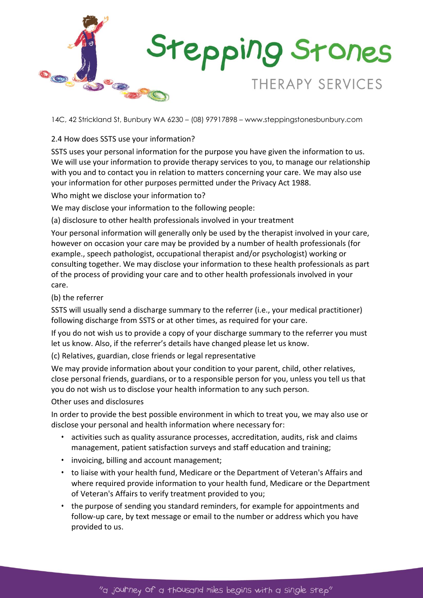

# 2.4 How does SSTS use your information?

SSTS uses your personal information for the purpose you have given the information to us. We will use your information to provide therapy services to you, to manage our relationship with you and to contact you in relation to matters concerning your care. We may also use your information for other purposes permitted under the Privacy Act 1988.

Who might we disclose your information to?

We may disclose your information to the following people:

(a) disclosure to other health professionals involved in your treatment

Your personal information will generally only be used by the therapist involved in your care, however on occasion your care may be provided by a number of health professionals (for example., speech pathologist, occupational therapist and/or psychologist) working or consulting together. We may disclose your information to these health professionals as part of the process of providing your care and to other health professionals involved in your care.

## (b) the referrer

SSTS will usually send a discharge summary to the referrer (i.e., your medical practitioner) following discharge from SSTS or at other times, as required for your care.

If you do not wish us to provide a copy of your discharge summary to the referrer you must let us know. Also, if the referrer's details have changed please let us know.

(c) Relatives, guardian, close friends or legal representative

We may provide information about your condition to your parent, child, other relatives, close personal friends, guardians, or to a responsible person for you, unless you tell us that you do not wish us to disclose your health information to any such person.

#### Other uses and disclosures

In order to provide the best possible environment in which to treat you, we may also use or disclose your personal and health information where necessary for:

- activities such as quality assurance processes, accreditation, audits, risk and claims management, patient satisfaction surveys and staff education and training;
- invoicing, billing and account management;
- to liaise with your health fund, Medicare or the Department of Veteran's Affairs and where required provide information to your health fund, Medicare or the Department of Veteran's Affairs to verify treatment provided to you;
- the purpose of sending you standard reminders, for example for appointments and follow-up care, by text message or email to the number or address which you have provided to us.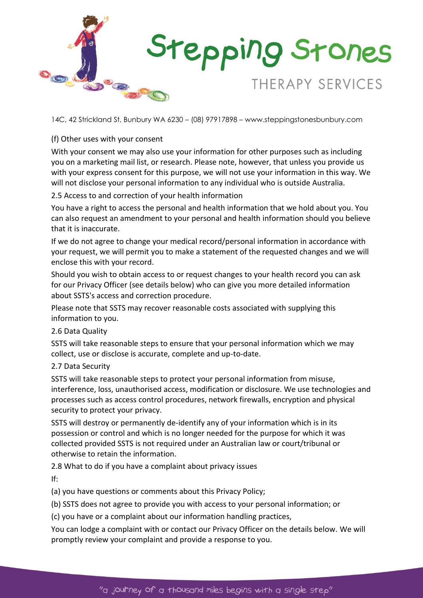

# (f) Other uses with your consent

With your consent we may also use your information for other purposes such as including you on a marketing mail list, or research. Please note, however, that unless you provide us with your express consent for this purpose, we will not use your information in this way. We will not disclose your personal information to any individual who is outside Australia.

# 2.5 Access to and correction of your health information

You have a right to access the personal and health information that we hold about you. You can also request an amendment to your personal and health information should you believe that it is inaccurate.

If we do not agree to change your medical record/personal information in accordance with your request, we will permit you to make a statement of the requested changes and we will enclose this with your record.

Should you wish to obtain access to or request changes to your health record you can ask for our Privacy Officer (see details below) who can give you more detailed information about SSTS's access and correction procedure.

Please note that SSTS may recover reasonable costs associated with supplying this information to you.

#### 2.6 Data Quality

SSTS will take reasonable steps to ensure that your personal information which we may collect, use or disclose is accurate, complete and up-to-date.

#### 2.7 Data Security

SSTS will take reasonable steps to protect your personal information from misuse, interference, loss, unauthorised access, modification or disclosure. We use technologies and processes such as access control procedures, network firewalls, encryption and physical security to protect your privacy.

SSTS will destroy or permanently de-identify any of your information which is in its possession or control and which is no longer needed for the purpose for which it was collected provided SSTS is not required under an Australian law or court/tribunal or otherwise to retain the information.

2.8 What to do if you have a complaint about privacy issues

If:

(a) you have questions or comments about this Privacy Policy;

(b) SSTS does not agree to provide you with access to your personal information; or

(c) you have or a complaint about our information handling practices,

You can lodge a complaint with or contact our Privacy Officer on the details below. We will promptly review your complaint and provide a response to you.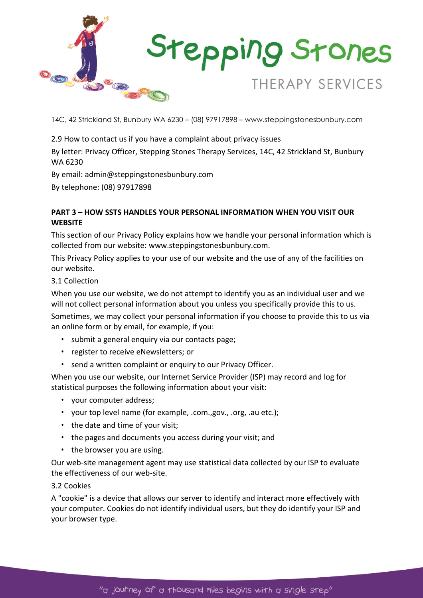

2.9 How to contact us if you have a complaint about privacy issues

By letter: Privacy Officer, Stepping Stones Therapy Services, 14C, 42 Strickland St, Bunbury WA 6230

By email: admin@steppingstonesbunbury.com

By telephone: (08) 97917898

# **PART 3 – HOW SSTS HANDLES YOUR PERSONAL INFORMATION WHEN YOU VISIT OUR WEBSITE**

This section of our Privacy Policy explains how we handle your personal information which is collected from our website: www.steppingstonesbunbury.com.

This Privacy Policy applies to your use of our website and the use of any of the facilities on our website.

## 3.1 Collection

When you use our website, we do not attempt to identify you as an individual user and we will not collect personal information about you unless you specifically provide this to us.

Sometimes, we may collect your personal information if you choose to provide this to us via an online form or by email, for example, if you:

- submit a general enquiry via our contacts page;
- register to receive eNewsletters; or
- send a written complaint or enquiry to our Privacy Officer.

When you use our website, our Internet Service Provider (ISP) may record and log for statistical purposes the following information about your visit:

- your computer address;
- your top level name (for example, .com.,gov., .org, .au etc.);
- the date and time of your visit;
- the pages and documents you access during your visit; and
- the browser you are using.

Our web-site management agent may use statistical data collected by our ISP to evaluate the effectiveness of our web-site.

# 3.2 Cookies

A "cookie" is a device that allows our server to identify and interact more effectively with your computer. Cookies do not identify individual users, but they do identify your ISP and your browser type.